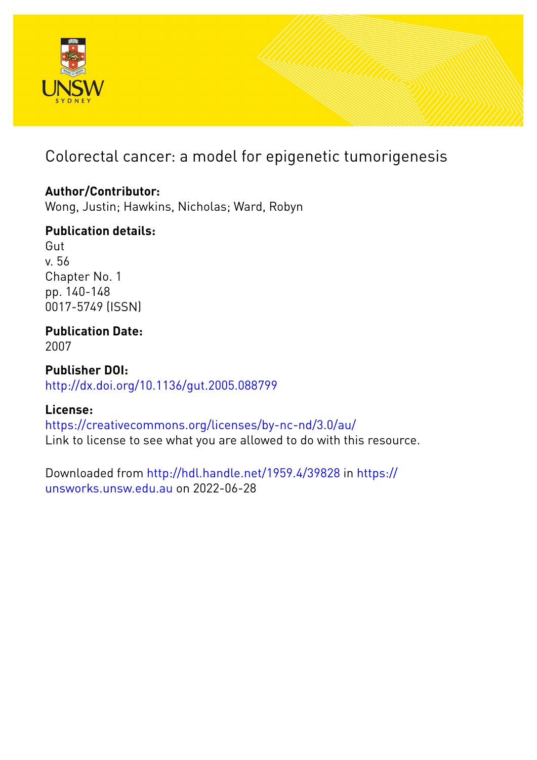

# Colorectal cancer: a model for epigenetic tumorigenesis

# **Author/Contributor:**

Wong, Justin; Hawkins, Nicholas; Ward, Robyn

# **Publication details:**

Gut v. 56 Chapter No. 1 pp. 140-148 0017-5749 (ISSN)

# **Publication Date:**

2007

**Publisher DOI:** [http://dx.doi.org/10.1136/gut.2005.088799](http://dx.doi.org/http://dx.doi.org/10.1136/gut.2005.088799)

# **License:**

<https://creativecommons.org/licenses/by-nc-nd/3.0/au/> Link to license to see what you are allowed to do with this resource.

Downloaded from <http://hdl.handle.net/1959.4/39828> in [https://](https://unsworks.unsw.edu.au) [unsworks.unsw.edu.au](https://unsworks.unsw.edu.au) on 2022-06-28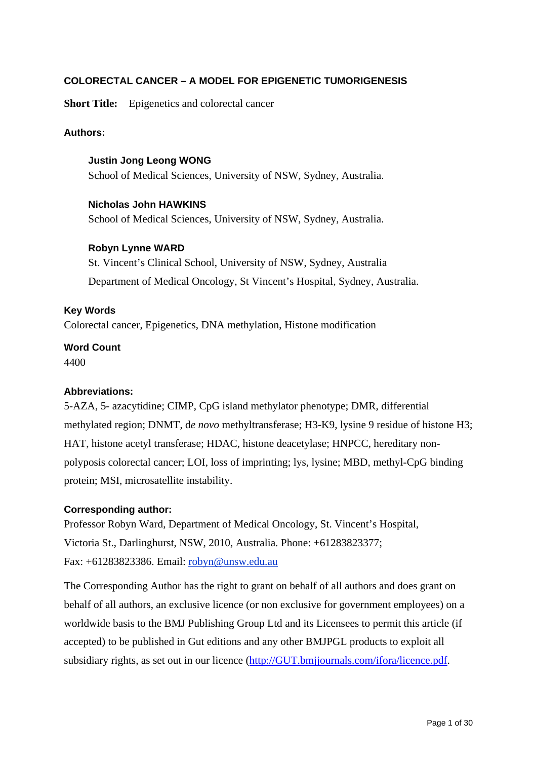## **COLORECTAL CANCER – A MODEL FOR EPIGENETIC TUMORIGENESIS**

**Short Title:** Epigenetics and colorectal cancer

### **Authors:**

**Justin Jong Leong WONG**  School of Medical Sciences, University of NSW, Sydney, Australia.

#### **Nicholas John HAWKINS**

School of Medical Sciences, University of NSW, Sydney, Australia.

#### **Robyn Lynne WARD**

St. Vincent's Clinical School, University of NSW, Sydney, Australia Department of Medical Oncology, St Vincent's Hospital, Sydney, Australia.

#### **Key Words**

Colorectal cancer, Epigenetics, DNA methylation, Histone modification

#### **Word Count**  4400

#### **Abbreviations:**

5-AZA, 5- azacytidine; CIMP, CpG island methylator phenotype; DMR, differential methylated region; DNMT, d*e novo* methyltransferase; H3-K9, lysine 9 residue of histone H3; HAT, histone acetyl transferase; HDAC, histone deacetylase; HNPCC, hereditary nonpolyposis colorectal cancer; LOI, loss of imprinting; lys, lysine; MBD, methyl-CpG binding protein; MSI, microsatellite instability.

#### **Corresponding author:**

Professor Robyn Ward, Department of Medical Oncology, St. Vincent's Hospital, Victoria St., Darlinghurst, NSW, 2010, Australia. Phone: +61283823377; Fax: +61283823386. Email: robyn@unsw.edu.au

The Corresponding Author has the right to grant on behalf of all authors and does grant on behalf of all authors, an exclusive licence (or non exclusive for government employees) on a worldwide basis to the BMJ Publishing Group Ltd and its Licensees to permit this article (if accepted) to be published in Gut editions and any other BMJPGL products to exploit all subsidiary rights, as set out in our licence (http://GUT.bmjjournals.com/ifora/licence.pdf.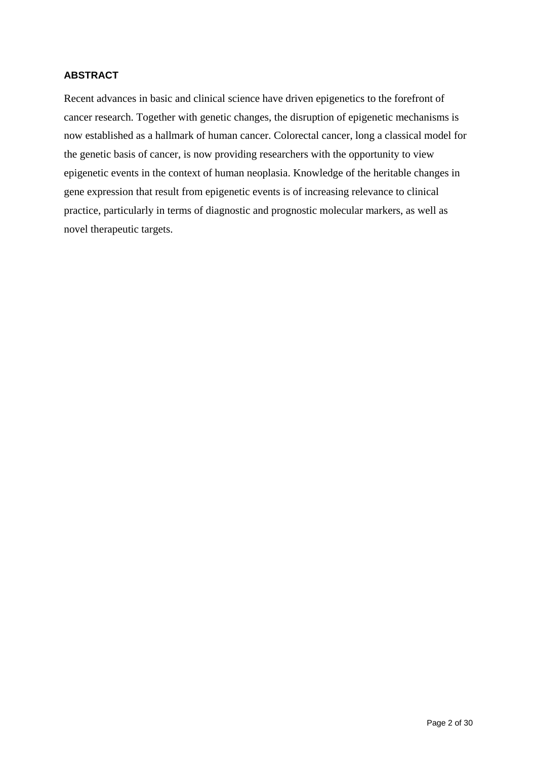## **ABSTRACT**

Recent advances in basic and clinical science have driven epigenetics to the forefront of cancer research. Together with genetic changes, the disruption of epigenetic mechanisms is now established as a hallmark of human cancer. Colorectal cancer, long a classical model for the genetic basis of cancer, is now providing researchers with the opportunity to view epigenetic events in the context of human neoplasia. Knowledge of the heritable changes in gene expression that result from epigenetic events is of increasing relevance to clinical practice, particularly in terms of diagnostic and prognostic molecular markers, as well as novel therapeutic targets.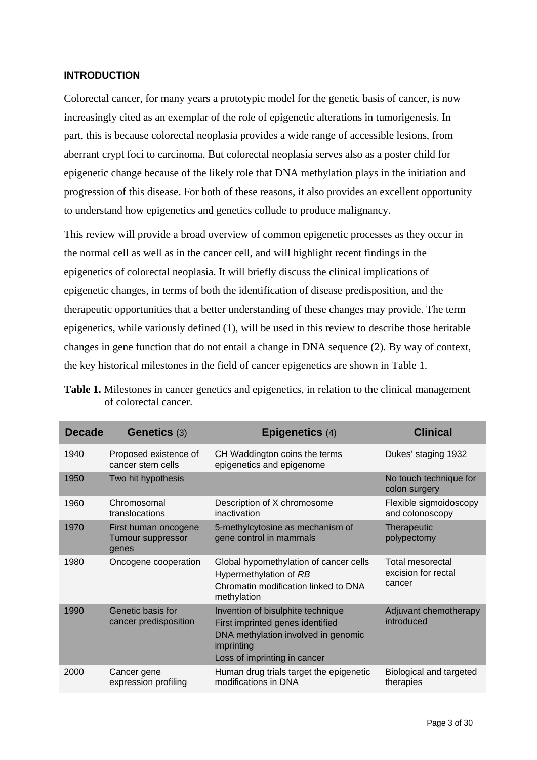#### **INTRODUCTION**

Colorectal cancer, for many years a prototypic model for the genetic basis of cancer, is now increasingly cited as an exemplar of the role of epigenetic alterations in tumorigenesis. In part, this is because colorectal neoplasia provides a wide range of accessible lesions, from aberrant crypt foci to carcinoma. But colorectal neoplasia serves also as a poster child for epigenetic change because of the likely role that DNA methylation plays in the initiation and progression of this disease. For both of these reasons, it also provides an excellent opportunity to understand how epigenetics and genetics collude to produce malignancy.

This review will provide a broad overview of common epigenetic processes as they occur in the normal cell as well as in the cancer cell, and will highlight recent findings in the epigenetics of colorectal neoplasia. It will briefly discuss the clinical implications of epigenetic changes, in terms of both the identification of disease predisposition, and the therapeutic opportunities that a better understanding of these changes may provide. The term epigenetics, while variously defined (1), will be used in this review to describe those heritable changes in gene function that do not entail a change in DNA sequence (2). By way of context, the key historical milestones in the field of cancer epigenetics are shown in Table 1.

| <b>Decade</b> | <b>Genetics (3)</b>                                       | <b>Epigenetics (4)</b>                                                                                                                                     | <b>Clinical</b>                                   |
|---------------|-----------------------------------------------------------|------------------------------------------------------------------------------------------------------------------------------------------------------------|---------------------------------------------------|
| 1940          | Proposed existence of<br>cancer stem cells                | CH Waddington coins the terms<br>epigenetics and epigenome                                                                                                 | Dukes' staging 1932                               |
| 1950          | Two hit hypothesis                                        |                                                                                                                                                            | No touch technique for<br>colon surgery           |
| 1960          | Chromosomal<br>translocations                             | Description of X chromosome<br>inactivation                                                                                                                | Flexible sigmoidoscopy<br>and colonoscopy         |
| 1970          | First human oncogene<br><b>Tumour suppressor</b><br>genes | 5-methylcytosine as mechanism of<br>gene control in mammals                                                                                                | Therapeutic<br>polypectomy                        |
| 1980          | Oncogene cooperation                                      | Global hypomethylation of cancer cells<br>Hypermethylation of RB<br>Chromatin modification linked to DNA<br>methylation                                    | Total mesorectal<br>excision for rectal<br>cancer |
| 1990          | Genetic basis for<br>cancer predisposition                | Invention of bisulphite technique<br>First imprinted genes identified<br>DNA methylation involved in genomic<br>imprinting<br>Loss of imprinting in cancer | Adjuvant chemotherapy<br>introduced               |
| 2000          | Cancer gene<br>expression profiling                       | Human drug trials target the epigenetic<br>modifications in DNA                                                                                            | Biological and targeted<br>therapies              |

**Table 1.** Milestones in cancer genetics and epigenetics, in relation to the clinical management of colorectal cancer.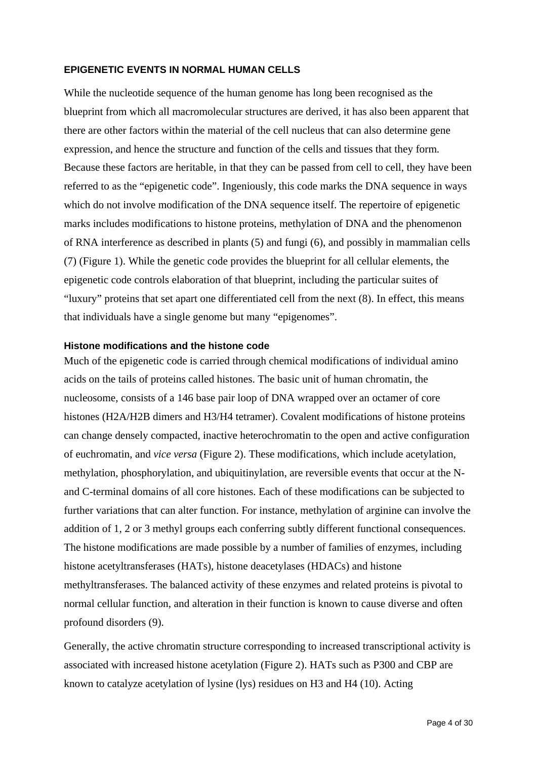#### **EPIGENETIC EVENTS IN NORMAL HUMAN CELLS**

While the nucleotide sequence of the human genome has long been recognised as the blueprint from which all macromolecular structures are derived, it has also been apparent that there are other factors within the material of the cell nucleus that can also determine gene expression, and hence the structure and function of the cells and tissues that they form. Because these factors are heritable, in that they can be passed from cell to cell, they have been referred to as the "epigenetic code". Ingeniously, this code marks the DNA sequence in ways which do not involve modification of the DNA sequence itself. The repertoire of epigenetic marks includes modifications to histone proteins, methylation of DNA and the phenomenon of RNA interference as described in plants (5) and fungi (6), and possibly in mammalian cells (7) (Figure 1). While the genetic code provides the blueprint for all cellular elements, the epigenetic code controls elaboration of that blueprint, including the particular suites of "luxury" proteins that set apart one differentiated cell from the next (8). In effect, this means that individuals have a single genome but many "epigenomes".

#### **Histone modifications and the histone code**

Much of the epigenetic code is carried through chemical modifications of individual amino acids on the tails of proteins called histones. The basic unit of human chromatin, the nucleosome, consists of a 146 base pair loop of DNA wrapped over an octamer of core histones (H2A/H2B dimers and H3/H4 tetramer). Covalent modifications of histone proteins can change densely compacted, inactive heterochromatin to the open and active configuration of euchromatin, and *vice versa* (Figure 2). These modifications, which include acetylation, methylation, phosphorylation, and ubiquitinylation, are reversible events that occur at the Nand C-terminal domains of all core histones. Each of these modifications can be subjected to further variations that can alter function. For instance, methylation of arginine can involve the addition of 1, 2 or 3 methyl groups each conferring subtly different functional consequences. The histone modifications are made possible by a number of families of enzymes, including histone acetyltransferases (HATs), histone deacetylases (HDACs) and histone methyltransferases. The balanced activity of these enzymes and related proteins is pivotal to normal cellular function, and alteration in their function is known to cause diverse and often profound disorders (9).

Generally, the active chromatin structure corresponding to increased transcriptional activity is associated with increased histone acetylation (Figure 2). HATs such as P300 and CBP are known to catalyze acetylation of lysine (lys) residues on H3 and H4 (10). Acting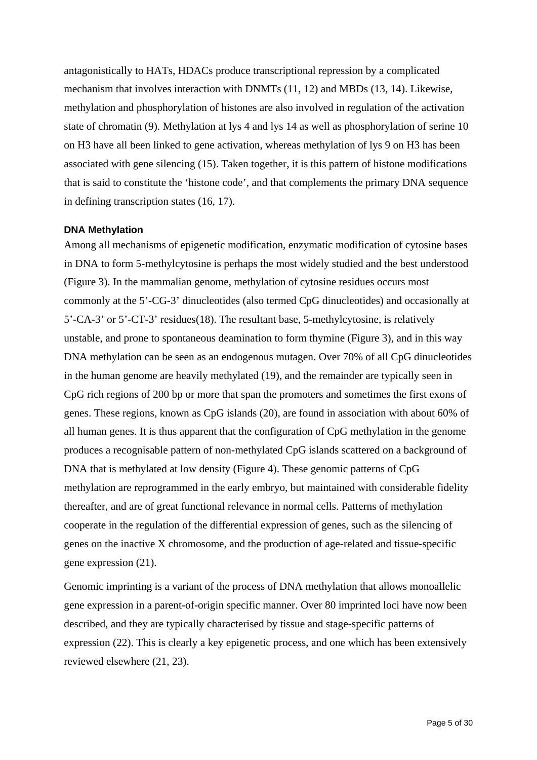antagonistically to HATs, HDACs produce transcriptional repression by a complicated mechanism that involves interaction with DNMTs (11, 12) and MBDs (13, 14). Likewise, methylation and phosphorylation of histones are also involved in regulation of the activation state of chromatin (9). Methylation at lys 4 and lys 14 as well as phosphorylation of serine 10 on H3 have all been linked to gene activation, whereas methylation of lys 9 on H3 has been associated with gene silencing (15). Taken together, it is this pattern of histone modifications that is said to constitute the 'histone code', and that complements the primary DNA sequence in defining transcription states (16, 17).

#### **DNA Methylation**

Among all mechanisms of epigenetic modification, enzymatic modification of cytosine bases in DNA to form 5-methylcytosine is perhaps the most widely studied and the best understood (Figure 3). In the mammalian genome, methylation of cytosine residues occurs most commonly at the 5'-CG-3' dinucleotides (also termed CpG dinucleotides) and occasionally at 5'-CA-3' or 5'-CT-3' residues(18). The resultant base, 5-methylcytosine, is relatively unstable, and prone to spontaneous deamination to form thymine (Figure 3), and in this way DNA methylation can be seen as an endogenous mutagen. Over 70% of all CpG dinucleotides in the human genome are heavily methylated (19), and the remainder are typically seen in CpG rich regions of 200 bp or more that span the promoters and sometimes the first exons of genes. These regions, known as CpG islands (20), are found in association with about 60% of all human genes. It is thus apparent that the configuration of CpG methylation in the genome produces a recognisable pattern of non-methylated CpG islands scattered on a background of DNA that is methylated at low density (Figure 4). These genomic patterns of CpG methylation are reprogrammed in the early embryo, but maintained with considerable fidelity thereafter, and are of great functional relevance in normal cells. Patterns of methylation cooperate in the regulation of the differential expression of genes, such as the silencing of genes on the inactive X chromosome, and the production of age-related and tissue-specific gene expression (21).

Genomic imprinting is a variant of the process of DNA methylation that allows monoallelic gene expression in a parent-of-origin specific manner. Over 80 imprinted loci have now been described, and they are typically characterised by tissue and stage-specific patterns of expression (22). This is clearly a key epigenetic process, and one which has been extensively reviewed elsewhere (21, 23).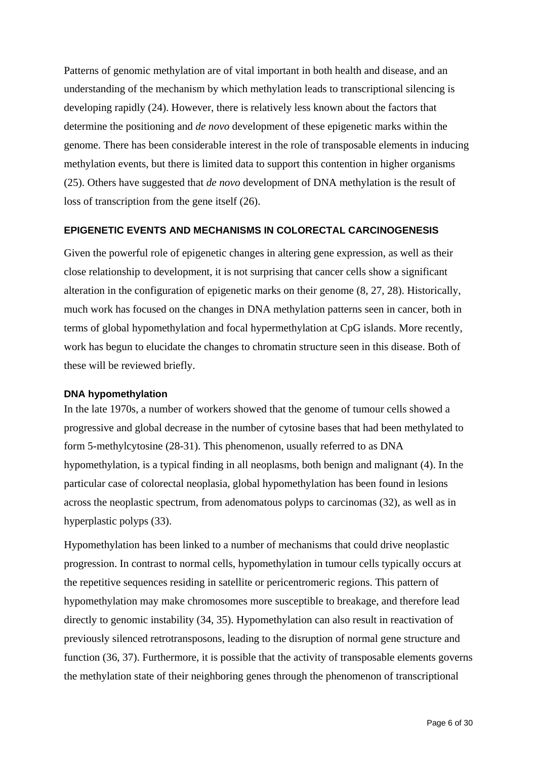Patterns of genomic methylation are of vital important in both health and disease, and an understanding of the mechanism by which methylation leads to transcriptional silencing is developing rapidly (24). However, there is relatively less known about the factors that determine the positioning and *de novo* development of these epigenetic marks within the genome. There has been considerable interest in the role of transposable elements in inducing methylation events, but there is limited data to support this contention in higher organisms (25). Others have suggested that *de novo* development of DNA methylation is the result of loss of transcription from the gene itself (26).

#### **EPIGENETIC EVENTS AND MECHANISMS IN COLORECTAL CARCINOGENESIS**

Given the powerful role of epigenetic changes in altering gene expression, as well as their close relationship to development, it is not surprising that cancer cells show a significant alteration in the configuration of epigenetic marks on their genome (8, 27, 28). Historically, much work has focused on the changes in DNA methylation patterns seen in cancer, both in terms of global hypomethylation and focal hypermethylation at CpG islands. More recently, work has begun to elucidate the changes to chromatin structure seen in this disease. Both of these will be reviewed briefly.

#### **DNA hypomethylation**

In the late 1970s, a number of workers showed that the genome of tumour cells showed a progressive and global decrease in the number of cytosine bases that had been methylated to form 5-methylcytosine (28-31). This phenomenon, usually referred to as DNA hypomethylation, is a typical finding in all neoplasms, both benign and malignant (4). In the particular case of colorectal neoplasia, global hypomethylation has been found in lesions across the neoplastic spectrum, from adenomatous polyps to carcinomas (32), as well as in hyperplastic polyps (33).

Hypomethylation has been linked to a number of mechanisms that could drive neoplastic progression. In contrast to normal cells, hypomethylation in tumour cells typically occurs at the repetitive sequences residing in satellite or pericentromeric regions. This pattern of hypomethylation may make chromosomes more susceptible to breakage, and therefore lead directly to genomic instability (34, 35). Hypomethylation can also result in reactivation of previously silenced retrotransposons, leading to the disruption of normal gene structure and function (36, 37). Furthermore, it is possible that the activity of transposable elements governs the methylation state of their neighboring genes through the phenomenon of transcriptional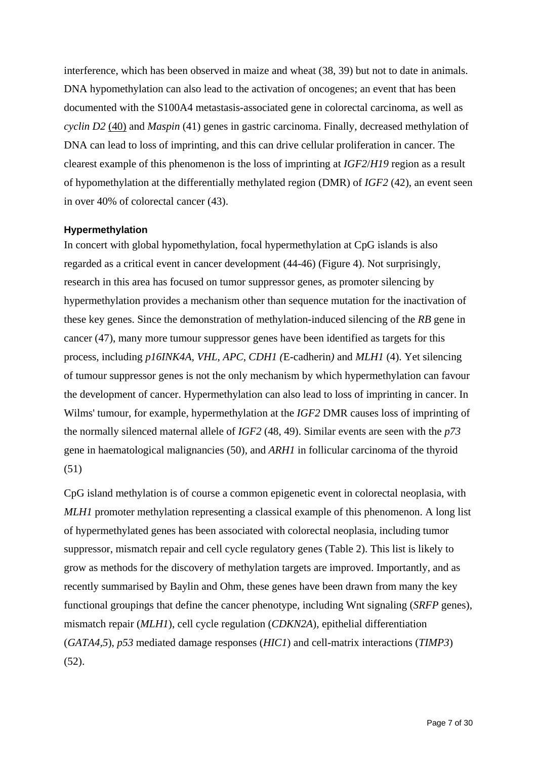interference, which has been observed in maize and wheat (38, 39) but not to date in animals. DNA hypomethylation can also lead to the activation of oncogenes; an event that has been documented with the S100A4 metastasis-associated gene in colorectal carcinoma, as well as *cyclin D2* (40) and *Maspin* (41) genes in gastric carcinoma. Finally, decreased methylation of DNA can lead to loss of imprinting, and this can drive cellular proliferation in cancer. The clearest example of this phenomenon is the loss of imprinting at *IGF2*/*H19* region as a result of hypomethylation at the differentially methylated region (DMR) of *IGF2* (42), an event seen in over 40% of colorectal cancer (43).

#### **Hypermethylation**

In concert with global hypomethylation, focal hypermethylation at CpG islands is also regarded as a critical event in cancer development (44-46) (Figure 4). Not surprisingly, research in this area has focused on tumor suppressor genes, as promoter silencing by hypermethylation provides a mechanism other than sequence mutation for the inactivation of these key genes. Since the demonstration of methylation-induced silencing of the *RB* gene in cancer (47), many more tumour suppressor genes have been identified as targets for this process, including *p16INK4A*, *VHL*, *APC*, *CDH1 (*E-cadherin*)* and *MLH1* (4). Yet silencing of tumour suppressor genes is not the only mechanism by which hypermethylation can favour the development of cancer. Hypermethylation can also lead to loss of imprinting in cancer. In Wilms' tumour, for example, hypermethylation at the *IGF2* DMR causes loss of imprinting of the normally silenced maternal allele of *IGF2* (48, 49). Similar events are seen with the *p73* gene in haematological malignancies (50), and *ARH1* in follicular carcinoma of the thyroid (51)

CpG island methylation is of course a common epigenetic event in colorectal neoplasia, with *MLH1* promoter methylation representing a classical example of this phenomenon. A long list of hypermethylated genes has been associated with colorectal neoplasia, including tumor suppressor, mismatch repair and cell cycle regulatory genes (Table 2). This list is likely to grow as methods for the discovery of methylation targets are improved. Importantly, and as recently summarised by Baylin and Ohm, these genes have been drawn from many the key functional groupings that define the cancer phenotype, including Wnt signaling (*SRFP* genes), mismatch repair (*MLH1*), cell cycle regulation (*CDKN2A*), epithelial differentiation (*GATA4,5*), *p53* mediated damage responses (*HIC1*) and cell-matrix interactions (*TIMP3*) (52).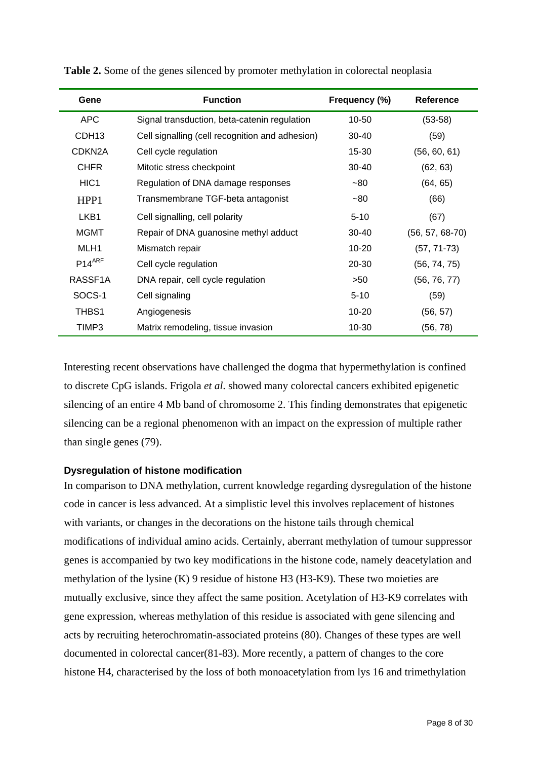| Gene                | <b>Function</b>                                 | Frequency (%) | <b>Reference</b>  |
|---------------------|-------------------------------------------------|---------------|-------------------|
| <b>APC</b>          | Signal transduction, beta-catenin regulation    | 10-50         | $(53-58)$         |
| CDH <sub>13</sub>   | Cell signalling (cell recognition and adhesion) | $30 - 40$     | (59)              |
| CDKN <sub>2</sub> A | Cell cycle regulation                           | 15-30         | (56, 60, 61)      |
| <b>CHFR</b>         | Mitotic stress checkpoint                       | $30 - 40$     | (62, 63)          |
| HIC <sub>1</sub>    | Regulation of DNA damage responses              | $-80$         | (64, 65)          |
| HPP1                | Transmembrane TGF-beta antagonist               | $-80$         | (66)              |
| LKB <sub>1</sub>    | Cell signalling, cell polarity                  | $5 - 10$      | (67)              |
| <b>MGMT</b>         | Repair of DNA guanosine methyl adduct           | $30 - 40$     | $(56, 57, 68-70)$ |
| MLH1                | Mismatch repair                                 | $10 - 20$     | $(57, 71-73)$     |
| $P14^{ARF}$         | Cell cycle regulation                           | 20-30         | (56, 74, 75)      |
| RASSF1A             | DNA repair, cell cycle regulation               | >50           | (56, 76, 77)      |
| SOCS-1              | Cell signaling                                  | $5 - 10$      | (59)              |
| THBS1               | Angiogenesis                                    | $10 - 20$     | (56, 57)          |
| TIMP3               | Matrix remodeling, tissue invasion              | 10-30         | (56, 78)          |

**Table 2.** Some of the genes silenced by promoter methylation in colorectal neoplasia

Interesting recent observations have challenged the dogma that hypermethylation is confined to discrete CpG islands. Frigola *et al*. showed many colorectal cancers exhibited epigenetic silencing of an entire 4 Mb band of chromosome 2. This finding demonstrates that epigenetic silencing can be a regional phenomenon with an impact on the expression of multiple rather than single genes (79).

#### **Dysregulation of histone modification**

In comparison to DNA methylation, current knowledge regarding dysregulation of the histone code in cancer is less advanced. At a simplistic level this involves replacement of histones with variants, or changes in the decorations on the histone tails through chemical modifications of individual amino acids. Certainly, aberrant methylation of tumour suppressor genes is accompanied by two key modifications in the histone code, namely deacetylation and methylation of the lysine (K) 9 residue of histone H3 (H3-K9). These two moieties are mutually exclusive, since they affect the same position. Acetylation of H3-K9 correlates with gene expression, whereas methylation of this residue is associated with gene silencing and acts by recruiting heterochromatin-associated proteins (80). Changes of these types are well documented in colorectal cancer(81-83). More recently, a pattern of changes to the core histone H4, characterised by the loss of both monoacetylation from lys 16 and trimethylation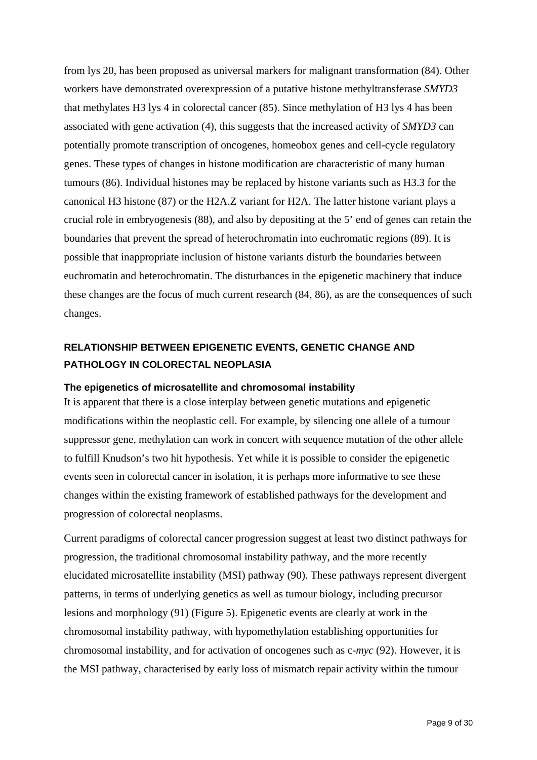from lys 20, has been proposed as universal markers for malignant transformation (84). Other workers have demonstrated overexpression of a putative histone methyltransferase *SMYD3* that methylates H3 lys 4 in colorectal cancer (85). Since methylation of H3 lys 4 has been associated with gene activation (4), this suggests that the increased activity of *SMYD3* can potentially promote transcription of oncogenes, homeobox genes and cell-cycle regulatory genes. These types of changes in histone modification are characteristic of many human tumours (86). Individual histones may be replaced by histone variants such as H3.3 for the canonical H3 histone (87) or the H2A.Z variant for H2A. The latter histone variant plays a crucial role in embryogenesis (88), and also by depositing at the 5' end of genes can retain the boundaries that prevent the spread of heterochromatin into euchromatic regions (89). It is possible that inappropriate inclusion of histone variants disturb the boundaries between euchromatin and heterochromatin. The disturbances in the epigenetic machinery that induce these changes are the focus of much current research (84, 86), as are the consequences of such changes.

## **RELATIONSHIP BETWEEN EPIGENETIC EVENTS, GENETIC CHANGE AND PATHOLOGY IN COLORECTAL NEOPLASIA**

#### **The epigenetics of microsatellite and chromosomal instability**

It is apparent that there is a close interplay between genetic mutations and epigenetic modifications within the neoplastic cell. For example, by silencing one allele of a tumour suppressor gene, methylation can work in concert with sequence mutation of the other allele to fulfill Knudson's two hit hypothesis. Yet while it is possible to consider the epigenetic events seen in colorectal cancer in isolation, it is perhaps more informative to see these changes within the existing framework of established pathways for the development and progression of colorectal neoplasms.

Current paradigms of colorectal cancer progression suggest at least two distinct pathways for progression, the traditional chromosomal instability pathway, and the more recently elucidated microsatellite instability (MSI) pathway (90). These pathways represent divergent patterns, in terms of underlying genetics as well as tumour biology, including precursor lesions and morphology (91) (Figure 5). Epigenetic events are clearly at work in the chromosomal instability pathway, with hypomethylation establishing opportunities for chromosomal instability, and for activation of oncogenes such as c-*myc* (92). However, it is the MSI pathway, characterised by early loss of mismatch repair activity within the tumour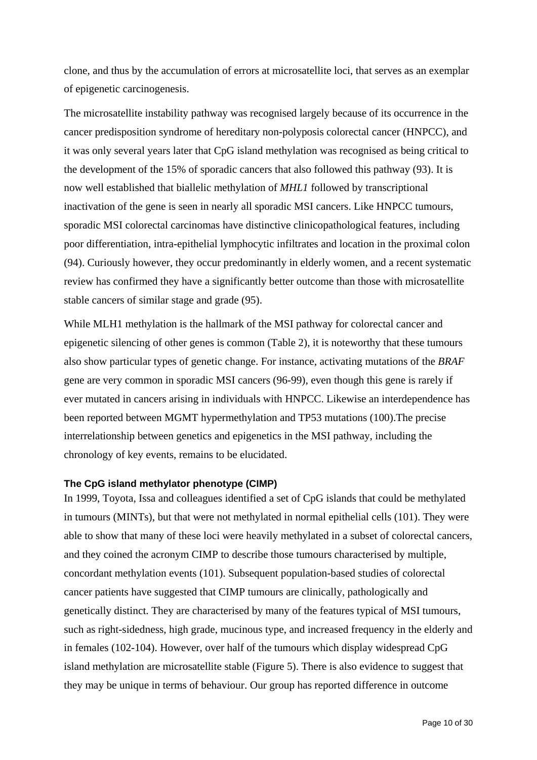clone, and thus by the accumulation of errors at microsatellite loci, that serves as an exemplar of epigenetic carcinogenesis.

The microsatellite instability pathway was recognised largely because of its occurrence in the cancer predisposition syndrome of hereditary non-polyposis colorectal cancer (HNPCC), and it was only several years later that CpG island methylation was recognised as being critical to the development of the 15% of sporadic cancers that also followed this pathway (93). It is now well established that biallelic methylation of *MHL1* followed by transcriptional inactivation of the gene is seen in nearly all sporadic MSI cancers. Like HNPCC tumours, sporadic MSI colorectal carcinomas have distinctive clinicopathological features, including poor differentiation, intra-epithelial lymphocytic infiltrates and location in the proximal colon (94). Curiously however, they occur predominantly in elderly women, and a recent systematic review has confirmed they have a significantly better outcome than those with microsatellite stable cancers of similar stage and grade (95).

While MLH1 methylation is the hallmark of the MSI pathway for colorectal cancer and epigenetic silencing of other genes is common (Table 2), it is noteworthy that these tumours also show particular types of genetic change. For instance, activating mutations of the *BRAF* gene are very common in sporadic MSI cancers (96-99), even though this gene is rarely if ever mutated in cancers arising in individuals with HNPCC. Likewise an interdependence has been reported between MGMT hypermethylation and TP53 mutations (100).The precise interrelationship between genetics and epigenetics in the MSI pathway, including the chronology of key events, remains to be elucidated.

#### **The CpG island methylator phenotype (CIMP)**

In 1999, Toyota, Issa and colleagues identified a set of CpG islands that could be methylated in tumours (MINTs), but that were not methylated in normal epithelial cells (101). They were able to show that many of these loci were heavily methylated in a subset of colorectal cancers, and they coined the acronym CIMP to describe those tumours characterised by multiple, concordant methylation events (101). Subsequent population-based studies of colorectal cancer patients have suggested that CIMP tumours are clinically, pathologically and genetically distinct. They are characterised by many of the features typical of MSI tumours, such as right-sidedness, high grade, mucinous type, and increased frequency in the elderly and in females (102-104). However, over half of the tumours which display widespread CpG island methylation are microsatellite stable (Figure 5). There is also evidence to suggest that they may be unique in terms of behaviour. Our group has reported difference in outcome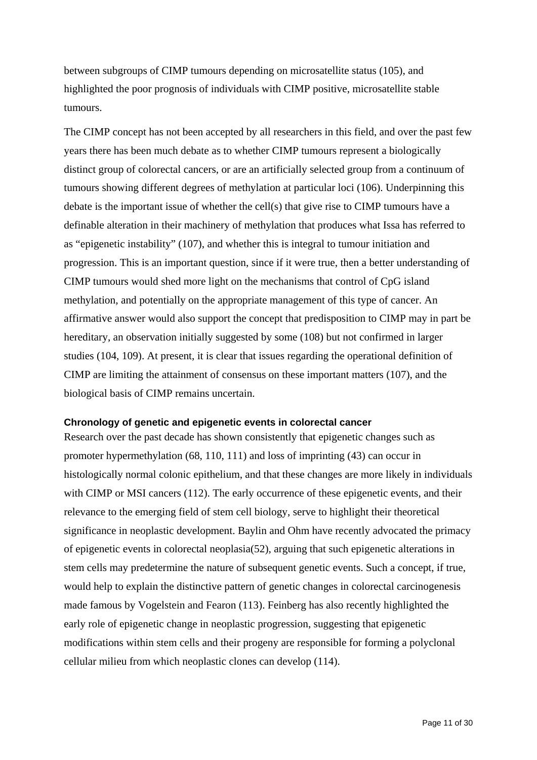between subgroups of CIMP tumours depending on microsatellite status (105), and highlighted the poor prognosis of individuals with CIMP positive, microsatellite stable tumours.

The CIMP concept has not been accepted by all researchers in this field, and over the past few years there has been much debate as to whether CIMP tumours represent a biologically distinct group of colorectal cancers, or are an artificially selected group from a continuum of tumours showing different degrees of methylation at particular loci (106). Underpinning this debate is the important issue of whether the cell(s) that give rise to CIMP tumours have a definable alteration in their machinery of methylation that produces what Issa has referred to as "epigenetic instability" (107), and whether this is integral to tumour initiation and progression. This is an important question, since if it were true, then a better understanding of CIMP tumours would shed more light on the mechanisms that control of CpG island methylation, and potentially on the appropriate management of this type of cancer. An affirmative answer would also support the concept that predisposition to CIMP may in part be hereditary, an observation initially suggested by some (108) but not confirmed in larger studies (104, 109). At present, it is clear that issues regarding the operational definition of CIMP are limiting the attainment of consensus on these important matters (107), and the biological basis of CIMP remains uncertain.

#### **Chronology of genetic and epigenetic events in colorectal cancer**

Research over the past decade has shown consistently that epigenetic changes such as promoter hypermethylation (68, 110, 111) and loss of imprinting (43) can occur in histologically normal colonic epithelium, and that these changes are more likely in individuals with CIMP or MSI cancers (112). The early occurrence of these epigenetic events, and their relevance to the emerging field of stem cell biology, serve to highlight their theoretical significance in neoplastic development. Baylin and Ohm have recently advocated the primacy of epigenetic events in colorectal neoplasia(52), arguing that such epigenetic alterations in stem cells may predetermine the nature of subsequent genetic events. Such a concept, if true, would help to explain the distinctive pattern of genetic changes in colorectal carcinogenesis made famous by Vogelstein and Fearon (113). Feinberg has also recently highlighted the early role of epigenetic change in neoplastic progression, suggesting that epigenetic modifications within stem cells and their progeny are responsible for forming a polyclonal cellular milieu from which neoplastic clones can develop (114).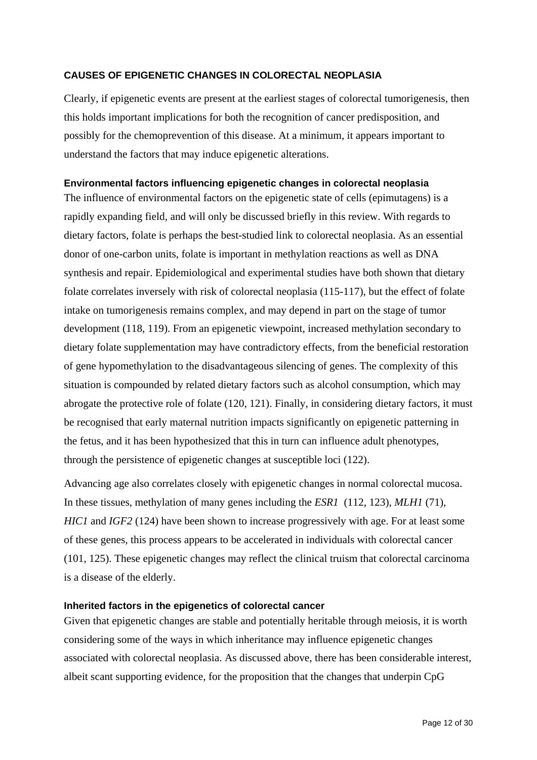#### **CAUSES OF EPIGENETIC CHANGES IN COLORECTAL NEOPLASIA**

Clearly, if epigenetic events are present at the earliest stages of colorectal tumorigenesis, then this holds important implications for both the recognition of cancer predisposition, and possibly for the chemoprevention of this disease. At a minimum, it appears important to understand the factors that may induce epigenetic alterations.

#### **Environmental factors influencing epigenetic changes in colorectal neoplasia**

The influence of environmental factors on the epigenetic state of cells (epimutagens) is a rapidly expanding field, and will only be discussed briefly in this review. With regards to dietary factors, folate is perhaps the best-studied link to colorectal neoplasia. As an essential donor of one-carbon units, folate is important in methylation reactions as well as DNA synthesis and repair. Epidemiological and experimental studies have both shown that dietary folate correlates inversely with risk of colorectal neoplasia (115-117), but the effect of folate intake on tumorigenesis remains complex, and may depend in part on the stage of tumor development (118, 119). From an epigenetic viewpoint, increased methylation secondary to dietary folate supplementation may have contradictory effects, from the beneficial restoration of gene hypomethylation to the disadvantageous silencing of genes. The complexity of this situation is compounded by related dietary factors such as alcohol consumption, which may abrogate the protective role of folate (120, 121). Finally, in considering dietary factors, it must be recognised that early maternal nutrition impacts significantly on epigenetic patterning in the fetus, and it has been hypothesized that this in turn can influence adult phenotypes, through the persistence of epigenetic changes at susceptible loci (122).

Advancing age also correlates closely with epigenetic changes in normal colorectal mucosa. In these tissues, methylation of many genes including the *ESR1* (112, 123), *MLH1* (71), *HIC1* and *IGF2* (124) have been shown to increase progressively with age. For at least some of these genes, this process appears to be accelerated in individuals with colorectal cancer (101, 125). These epigenetic changes may reflect the clinical truism that colorectal carcinoma is a disease of the elderly.

#### **Inherited factors in the epigenetics of colorectal cancer**

Given that epigenetic changes are stable and potentially heritable through meiosis, it is worth considering some of the ways in which inheritance may influence epigenetic changes associated with colorectal neoplasia. As discussed above, there has been considerable interest, albeit scant supporting evidence, for the proposition that the changes that underpin CpG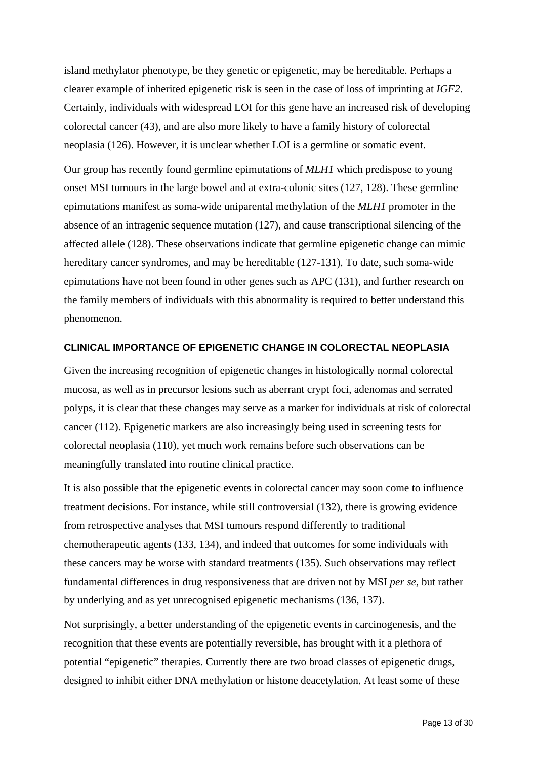island methylator phenotype, be they genetic or epigenetic, may be hereditable. Perhaps a clearer example of inherited epigenetic risk is seen in the case of loss of imprinting at *IGF2*. Certainly, individuals with widespread LOI for this gene have an increased risk of developing colorectal cancer (43), and are also more likely to have a family history of colorectal neoplasia (126). However, it is unclear whether LOI is a germline or somatic event.

Our group has recently found germline epimutations of *MLH1* which predispose to young onset MSI tumours in the large bowel and at extra-colonic sites (127, 128). These germline epimutations manifest as soma-wide uniparental methylation of the *MLH1* promoter in the absence of an intragenic sequence mutation (127), and cause transcriptional silencing of the affected allele (128). These observations indicate that germline epigenetic change can mimic hereditary cancer syndromes, and may be hereditable (127-131). To date, such soma-wide epimutations have not been found in other genes such as APC (131), and further research on the family members of individuals with this abnormality is required to better understand this phenomenon.

#### **CLINICAL IMPORTANCE OF EPIGENETIC CHANGE IN COLORECTAL NEOPLASIA**

Given the increasing recognition of epigenetic changes in histologically normal colorectal mucosa, as well as in precursor lesions such as aberrant crypt foci, adenomas and serrated polyps, it is clear that these changes may serve as a marker for individuals at risk of colorectal cancer (112). Epigenetic markers are also increasingly being used in screening tests for colorectal neoplasia (110), yet much work remains before such observations can be meaningfully translated into routine clinical practice.

It is also possible that the epigenetic events in colorectal cancer may soon come to influence treatment decisions. For instance, while still controversial (132), there is growing evidence from retrospective analyses that MSI tumours respond differently to traditional chemotherapeutic agents (133, 134), and indeed that outcomes for some individuals with these cancers may be worse with standard treatments (135). Such observations may reflect fundamental differences in drug responsiveness that are driven not by MSI *per se*, but rather by underlying and as yet unrecognised epigenetic mechanisms (136, 137).

Not surprisingly, a better understanding of the epigenetic events in carcinogenesis, and the recognition that these events are potentially reversible, has brought with it a plethora of potential "epigenetic" therapies. Currently there are two broad classes of epigenetic drugs, designed to inhibit either DNA methylation or histone deacetylation. At least some of these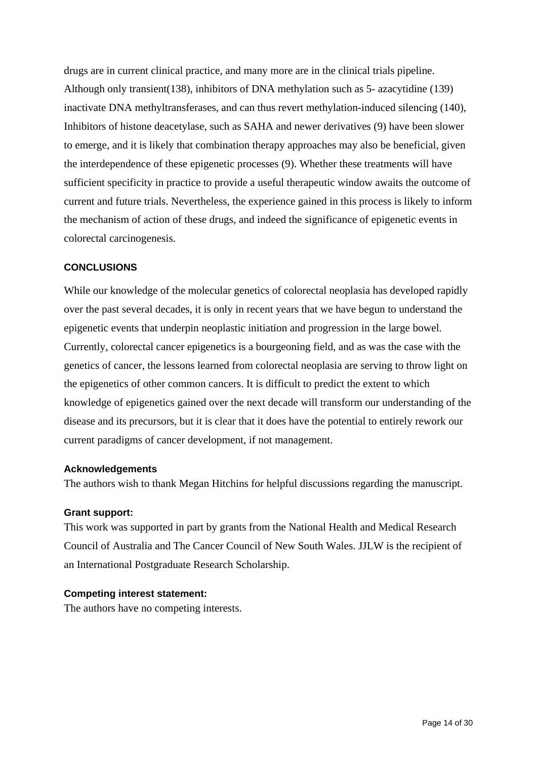drugs are in current clinical practice, and many more are in the clinical trials pipeline. Although only transient(138), inhibitors of DNA methylation such as 5- azacytidine (139) inactivate DNA methyltransferases, and can thus revert methylation-induced silencing (140), Inhibitors of histone deacetylase, such as SAHA and newer derivatives (9) have been slower to emerge, and it is likely that combination therapy approaches may also be beneficial, given the interdependence of these epigenetic processes (9). Whether these treatments will have sufficient specificity in practice to provide a useful therapeutic window awaits the outcome of current and future trials. Nevertheless, the experience gained in this process is likely to inform the mechanism of action of these drugs, and indeed the significance of epigenetic events in colorectal carcinogenesis.

### **CONCLUSIONS**

While our knowledge of the molecular genetics of colorectal neoplasia has developed rapidly over the past several decades, it is only in recent years that we have begun to understand the epigenetic events that underpin neoplastic initiation and progression in the large bowel. Currently, colorectal cancer epigenetics is a bourgeoning field, and as was the case with the genetics of cancer, the lessons learned from colorectal neoplasia are serving to throw light on the epigenetics of other common cancers. It is difficult to predict the extent to which knowledge of epigenetics gained over the next decade will transform our understanding of the disease and its precursors, but it is clear that it does have the potential to entirely rework our current paradigms of cancer development, if not management.

#### **Acknowledgements**

The authors wish to thank Megan Hitchins for helpful discussions regarding the manuscript.

#### **Grant support:**

This work was supported in part by grants from the National Health and Medical Research Council of Australia and The Cancer Council of New South Wales. JJLW is the recipient of an International Postgraduate Research Scholarship.

#### **Competing interest statement:**

The authors have no competing interests.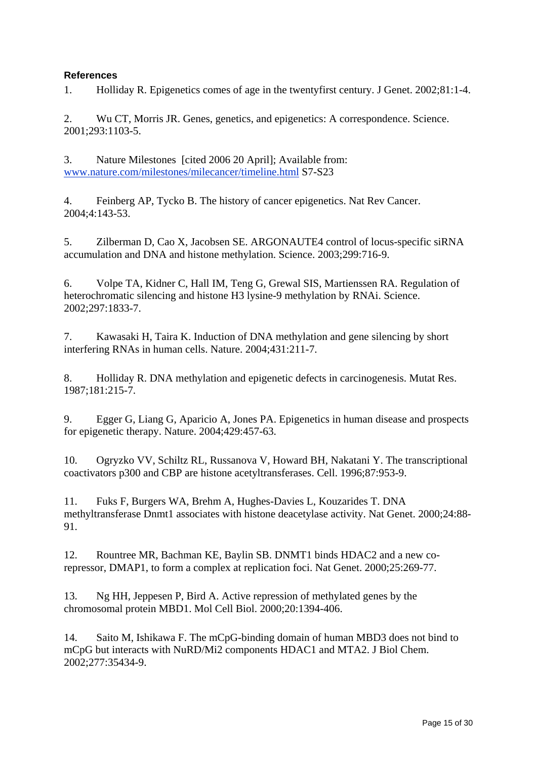### **References**

1. Holliday R. Epigenetics comes of age in the twentyfirst century. J Genet. 2002;81:1-4.

2. Wu CT, Morris JR. Genes, genetics, and epigenetics: A correspondence. Science. 2001;293:1103-5.

3. Nature Milestones [cited 2006 20 April]; Available from: www.nature.com/milestones/milecancer/timeline.html S7-S23

4. Feinberg AP, Tycko B. The history of cancer epigenetics. Nat Rev Cancer. 2004;4:143-53.

5. Zilberman D, Cao X, Jacobsen SE. ARGONAUTE4 control of locus-specific siRNA accumulation and DNA and histone methylation. Science. 2003;299:716-9.

6. Volpe TA, Kidner C, Hall IM, Teng G, Grewal SIS, Martienssen RA. Regulation of heterochromatic silencing and histone H3 lysine-9 methylation by RNAi. Science. 2002;297:1833-7.

7. Kawasaki H, Taira K. Induction of DNA methylation and gene silencing by short interfering RNAs in human cells. Nature. 2004;431:211-7.

8. Holliday R. DNA methylation and epigenetic defects in carcinogenesis. Mutat Res. 1987;181:215-7.

9. Egger G, Liang G, Aparicio A, Jones PA. Epigenetics in human disease and prospects for epigenetic therapy. Nature. 2004;429:457-63.

10. Ogryzko VV, Schiltz RL, Russanova V, Howard BH, Nakatani Y. The transcriptional coactivators p300 and CBP are histone acetyltransferases. Cell. 1996;87:953-9.

11. Fuks F, Burgers WA, Brehm A, Hughes-Davies L, Kouzarides T. DNA methyltransferase Dnmt1 associates with histone deacetylase activity. Nat Genet. 2000;24:88- 91.

12. Rountree MR, Bachman KE, Baylin SB. DNMT1 binds HDAC2 and a new corepressor, DMAP1, to form a complex at replication foci. Nat Genet. 2000;25:269-77.

13. Ng HH, Jeppesen P, Bird A. Active repression of methylated genes by the chromosomal protein MBD1. Mol Cell Biol. 2000;20:1394-406.

14. Saito M, Ishikawa F. The mCpG-binding domain of human MBD3 does not bind to mCpG but interacts with NuRD/Mi2 components HDAC1 and MTA2. J Biol Chem. 2002;277:35434-9.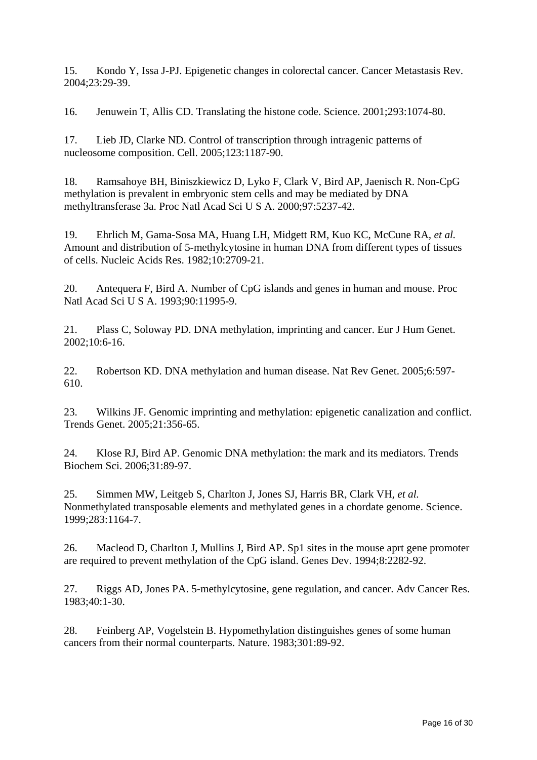15. Kondo Y, Issa J-PJ. Epigenetic changes in colorectal cancer. Cancer Metastasis Rev. 2004;23:29-39.

16. Jenuwein T, Allis CD. Translating the histone code. Science. 2001;293:1074-80.

17. Lieb JD, Clarke ND. Control of transcription through intragenic patterns of nucleosome composition. Cell. 2005;123:1187-90.

18. Ramsahoye BH, Biniszkiewicz D, Lyko F, Clark V, Bird AP, Jaenisch R. Non-CpG methylation is prevalent in embryonic stem cells and may be mediated by DNA methyltransferase 3a. Proc Natl Acad Sci U S A. 2000;97:5237-42.

19. Ehrlich M, Gama-Sosa MA, Huang LH, Midgett RM, Kuo KC, McCune RA*, et al.* Amount and distribution of 5-methylcytosine in human DNA from different types of tissues of cells. Nucleic Acids Res. 1982;10:2709-21.

20. Antequera F, Bird A. Number of CpG islands and genes in human and mouse. Proc Natl Acad Sci U S A. 1993;90:11995-9.

21. Plass C, Soloway PD. DNA methylation, imprinting and cancer. Eur J Hum Genet. 2002;10:6-16.

22. Robertson KD. DNA methylation and human disease. Nat Rev Genet. 2005;6:597- 610.

23. Wilkins JF. Genomic imprinting and methylation: epigenetic canalization and conflict. Trends Genet. 2005;21:356-65.

24. Klose RJ, Bird AP. Genomic DNA methylation: the mark and its mediators. Trends Biochem Sci. 2006;31:89-97.

25. Simmen MW, Leitgeb S, Charlton J, Jones SJ, Harris BR, Clark VH*, et al.* Nonmethylated transposable elements and methylated genes in a chordate genome. Science. 1999;283:1164-7.

26. Macleod D, Charlton J, Mullins J, Bird AP. Sp1 sites in the mouse aprt gene promoter are required to prevent methylation of the CpG island. Genes Dev. 1994;8:2282-92.

27. Riggs AD, Jones PA. 5-methylcytosine, gene regulation, and cancer. Adv Cancer Res. 1983;40:1-30.

28. Feinberg AP, Vogelstein B. Hypomethylation distinguishes genes of some human cancers from their normal counterparts. Nature. 1983;301:89-92.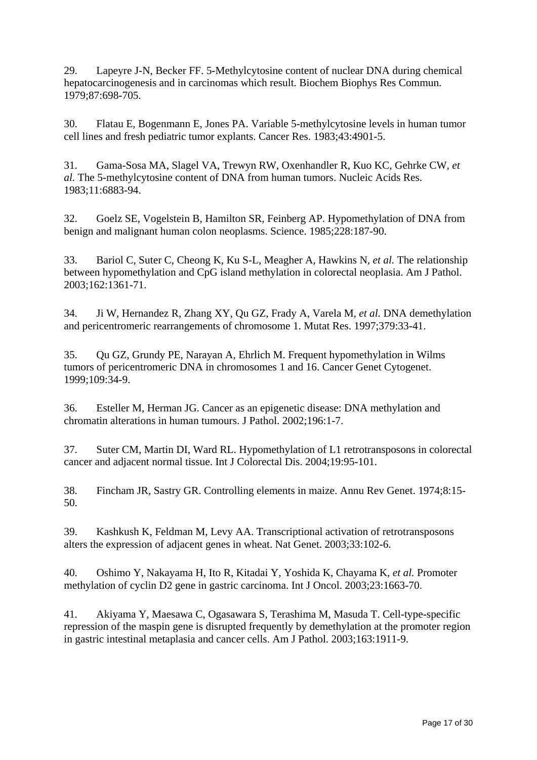29. Lapeyre J-N, Becker FF. 5-Methylcytosine content of nuclear DNA during chemical hepatocarcinogenesis and in carcinomas which result. Biochem Biophys Res Commun. 1979;87:698-705.

30. Flatau E, Bogenmann E, Jones PA. Variable 5-methylcytosine levels in human tumor cell lines and fresh pediatric tumor explants. Cancer Res. 1983;43:4901-5.

31. Gama-Sosa MA, Slagel VA, Trewyn RW, Oxenhandler R, Kuo KC, Gehrke CW*, et al.* The 5-methylcytosine content of DNA from human tumors. Nucleic Acids Res. 1983;11:6883-94.

32. Goelz SE, Vogelstein B, Hamilton SR, Feinberg AP. Hypomethylation of DNA from benign and malignant human colon neoplasms. Science. 1985;228:187-90.

33. Bariol C, Suter C, Cheong K, Ku S-L, Meagher A, Hawkins N*, et al.* The relationship between hypomethylation and CpG island methylation in colorectal neoplasia. Am J Pathol. 2003;162:1361-71.

34. Ji W, Hernandez R, Zhang XY, Qu GZ, Frady A, Varela M*, et al.* DNA demethylation and pericentromeric rearrangements of chromosome 1. Mutat Res. 1997;379:33-41.

35. Qu GZ, Grundy PE, Narayan A, Ehrlich M. Frequent hypomethylation in Wilms tumors of pericentromeric DNA in chromosomes 1 and 16. Cancer Genet Cytogenet. 1999;109:34-9.

36. Esteller M, Herman JG. Cancer as an epigenetic disease: DNA methylation and chromatin alterations in human tumours. J Pathol. 2002;196:1-7.

37. Suter CM, Martin DI, Ward RL. Hypomethylation of L1 retrotransposons in colorectal cancer and adjacent normal tissue. Int J Colorectal Dis. 2004;19:95-101.

38. Fincham JR, Sastry GR. Controlling elements in maize. Annu Rev Genet. 1974;8:15- 50.

39. Kashkush K, Feldman M, Levy AA. Transcriptional activation of retrotransposons alters the expression of adjacent genes in wheat. Nat Genet. 2003;33:102-6.

40. Oshimo Y, Nakayama H, Ito R, Kitadai Y, Yoshida K, Chayama K*, et al.* Promoter methylation of cyclin D2 gene in gastric carcinoma. Int J Oncol. 2003;23:1663-70.

41. Akiyama Y, Maesawa C, Ogasawara S, Terashima M, Masuda T. Cell-type-specific repression of the maspin gene is disrupted frequently by demethylation at the promoter region in gastric intestinal metaplasia and cancer cells. Am J Pathol. 2003;163:1911-9.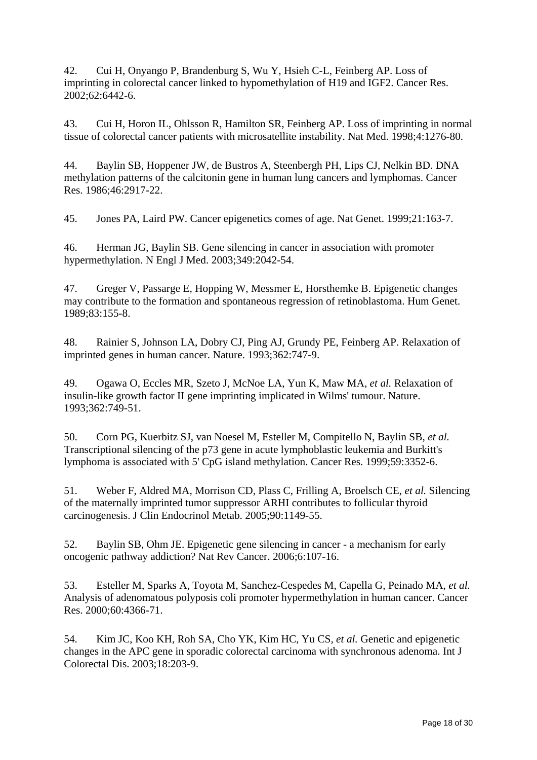42. Cui H, Onyango P, Brandenburg S, Wu Y, Hsieh C-L, Feinberg AP. Loss of imprinting in colorectal cancer linked to hypomethylation of H19 and IGF2. Cancer Res. 2002;62:6442-6.

43. Cui H, Horon IL, Ohlsson R, Hamilton SR, Feinberg AP. Loss of imprinting in normal tissue of colorectal cancer patients with microsatellite instability. Nat Med. 1998;4:1276-80.

44. Baylin SB, Hoppener JW, de Bustros A, Steenbergh PH, Lips CJ, Nelkin BD. DNA methylation patterns of the calcitonin gene in human lung cancers and lymphomas. Cancer Res. 1986;46:2917-22.

45. Jones PA, Laird PW. Cancer epigenetics comes of age. Nat Genet. 1999;21:163-7.

46. Herman JG, Baylin SB. Gene silencing in cancer in association with promoter hypermethylation. N Engl J Med. 2003;349:2042-54.

47. Greger V, Passarge E, Hopping W, Messmer E, Horsthemke B. Epigenetic changes may contribute to the formation and spontaneous regression of retinoblastoma. Hum Genet. 1989;83:155-8.

48. Rainier S, Johnson LA, Dobry CJ, Ping AJ, Grundy PE, Feinberg AP. Relaxation of imprinted genes in human cancer. Nature. 1993;362:747-9.

49. Ogawa O, Eccles MR, Szeto J, McNoe LA, Yun K, Maw MA*, et al.* Relaxation of insulin-like growth factor II gene imprinting implicated in Wilms' tumour. Nature. 1993;362:749-51.

50. Corn PG, Kuerbitz SJ, van Noesel M, Esteller M, Compitello N, Baylin SB*, et al.* Transcriptional silencing of the p73 gene in acute lymphoblastic leukemia and Burkitt's lymphoma is associated with 5' CpG island methylation. Cancer Res. 1999;59:3352-6.

51. Weber F, Aldred MA, Morrison CD, Plass C, Frilling A, Broelsch CE*, et al.* Silencing of the maternally imprinted tumor suppressor ARHI contributes to follicular thyroid carcinogenesis. J Clin Endocrinol Metab. 2005;90:1149-55.

52. Baylin SB, Ohm JE. Epigenetic gene silencing in cancer - a mechanism for early oncogenic pathway addiction? Nat Rev Cancer. 2006;6:107-16.

53. Esteller M, Sparks A, Toyota M, Sanchez-Cespedes M, Capella G, Peinado MA*, et al.* Analysis of adenomatous polyposis coli promoter hypermethylation in human cancer. Cancer Res. 2000;60:4366-71.

54. Kim JC, Koo KH, Roh SA, Cho YK, Kim HC, Yu CS*, et al.* Genetic and epigenetic changes in the APC gene in sporadic colorectal carcinoma with synchronous adenoma. Int J Colorectal Dis. 2003;18:203-9.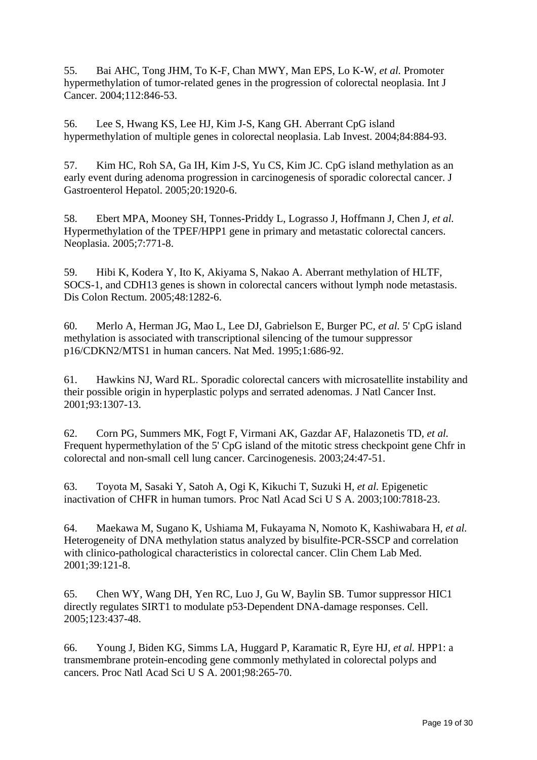55. Bai AHC, Tong JHM, To K-F, Chan MWY, Man EPS, Lo K-W*, et al.* Promoter hypermethylation of tumor-related genes in the progression of colorectal neoplasia. Int J Cancer. 2004;112:846-53.

56. Lee S, Hwang KS, Lee HJ, Kim J-S, Kang GH. Aberrant CpG island hypermethylation of multiple genes in colorectal neoplasia. Lab Invest. 2004;84:884-93.

57. Kim HC, Roh SA, Ga IH, Kim J-S, Yu CS, Kim JC. CpG island methylation as an early event during adenoma progression in carcinogenesis of sporadic colorectal cancer. J Gastroenterol Hepatol. 2005;20:1920-6.

58. Ebert MPA, Mooney SH, Tonnes-Priddy L, Lograsso J, Hoffmann J, Chen J*, et al.* Hypermethylation of the TPEF/HPP1 gene in primary and metastatic colorectal cancers. Neoplasia. 2005;7:771-8.

59. Hibi K, Kodera Y, Ito K, Akiyama S, Nakao A. Aberrant methylation of HLTF, SOCS-1, and CDH13 genes is shown in colorectal cancers without lymph node metastasis. Dis Colon Rectum. 2005;48:1282-6.

60. Merlo A, Herman JG, Mao L, Lee DJ, Gabrielson E, Burger PC*, et al.* 5' CpG island methylation is associated with transcriptional silencing of the tumour suppressor p16/CDKN2/MTS1 in human cancers. Nat Med. 1995;1:686-92.

61. Hawkins NJ, Ward RL. Sporadic colorectal cancers with microsatellite instability and their possible origin in hyperplastic polyps and serrated adenomas. J Natl Cancer Inst. 2001;93:1307-13.

62. Corn PG, Summers MK, Fogt F, Virmani AK, Gazdar AF, Halazonetis TD*, et al.* Frequent hypermethylation of the 5' CpG island of the mitotic stress checkpoint gene Chfr in colorectal and non-small cell lung cancer. Carcinogenesis. 2003;24:47-51.

63. Toyota M, Sasaki Y, Satoh A, Ogi K, Kikuchi T, Suzuki H*, et al.* Epigenetic inactivation of CHFR in human tumors. Proc Natl Acad Sci U S A. 2003;100:7818-23.

64. Maekawa M, Sugano K, Ushiama M, Fukayama N, Nomoto K, Kashiwabara H*, et al.* Heterogeneity of DNA methylation status analyzed by bisulfite-PCR-SSCP and correlation with clinico-pathological characteristics in colorectal cancer. Clin Chem Lab Med. 2001;39:121-8.

65. Chen WY, Wang DH, Yen RC, Luo J, Gu W, Baylin SB. Tumor suppressor HIC1 directly regulates SIRT1 to modulate p53-Dependent DNA-damage responses. Cell. 2005;123:437-48.

66. Young J, Biden KG, Simms LA, Huggard P, Karamatic R, Eyre HJ*, et al.* HPP1: a transmembrane protein-encoding gene commonly methylated in colorectal polyps and cancers. Proc Natl Acad Sci U S A. 2001;98:265-70.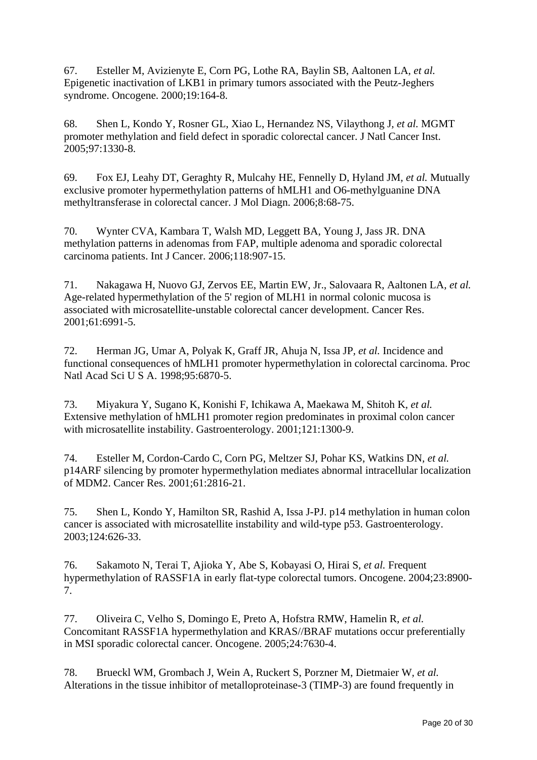67. Esteller M, Avizienyte E, Corn PG, Lothe RA, Baylin SB, Aaltonen LA*, et al.* Epigenetic inactivation of LKB1 in primary tumors associated with the Peutz-Jeghers syndrome. Oncogene. 2000;19:164-8.

68. Shen L, Kondo Y, Rosner GL, Xiao L, Hernandez NS, Vilaythong J*, et al.* MGMT promoter methylation and field defect in sporadic colorectal cancer. J Natl Cancer Inst. 2005;97:1330-8.

69. Fox EJ, Leahy DT, Geraghty R, Mulcahy HE, Fennelly D, Hyland JM*, et al.* Mutually exclusive promoter hypermethylation patterns of hMLH1 and O6-methylguanine DNA methyltransferase in colorectal cancer. J Mol Diagn. 2006;8:68-75.

70. Wynter CVA, Kambara T, Walsh MD, Leggett BA, Young J, Jass JR. DNA methylation patterns in adenomas from FAP, multiple adenoma and sporadic colorectal carcinoma patients. Int J Cancer. 2006;118:907-15.

71. Nakagawa H, Nuovo GJ, Zervos EE, Martin EW, Jr., Salovaara R, Aaltonen LA*, et al.* Age-related hypermethylation of the 5' region of MLH1 in normal colonic mucosa is associated with microsatellite-unstable colorectal cancer development. Cancer Res. 2001;61:6991-5.

72. Herman JG, Umar A, Polyak K, Graff JR, Ahuja N, Issa JP*, et al.* Incidence and functional consequences of hMLH1 promoter hypermethylation in colorectal carcinoma. Proc Natl Acad Sci U S A. 1998;95:6870-5.

73. Miyakura Y, Sugano K, Konishi F, Ichikawa A, Maekawa M, Shitoh K*, et al.* Extensive methylation of hMLH1 promoter region predominates in proximal colon cancer with microsatellite instability. Gastroenterology. 2001;121:1300-9.

74. Esteller M, Cordon-Cardo C, Corn PG, Meltzer SJ, Pohar KS, Watkins DN*, et al.* p14ARF silencing by promoter hypermethylation mediates abnormal intracellular localization of MDM2. Cancer Res. 2001;61:2816-21.

75. Shen L, Kondo Y, Hamilton SR, Rashid A, Issa J-PJ. p14 methylation in human colon cancer is associated with microsatellite instability and wild-type p53. Gastroenterology. 2003;124:626-33.

76. Sakamoto N, Terai T, Ajioka Y, Abe S, Kobayasi O, Hirai S*, et al.* Frequent hypermethylation of RASSF1A in early flat-type colorectal tumors. Oncogene. 2004;23:8900- 7.

77. Oliveira C, Velho S, Domingo E, Preto A, Hofstra RMW, Hamelin R*, et al.* Concomitant RASSF1A hypermethylation and KRAS//BRAF mutations occur preferentially in MSI sporadic colorectal cancer. Oncogene. 2005;24:7630-4.

78. Brueckl WM, Grombach J, Wein A, Ruckert S, Porzner M, Dietmaier W*, et al.* Alterations in the tissue inhibitor of metalloproteinase-3 (TIMP-3) are found frequently in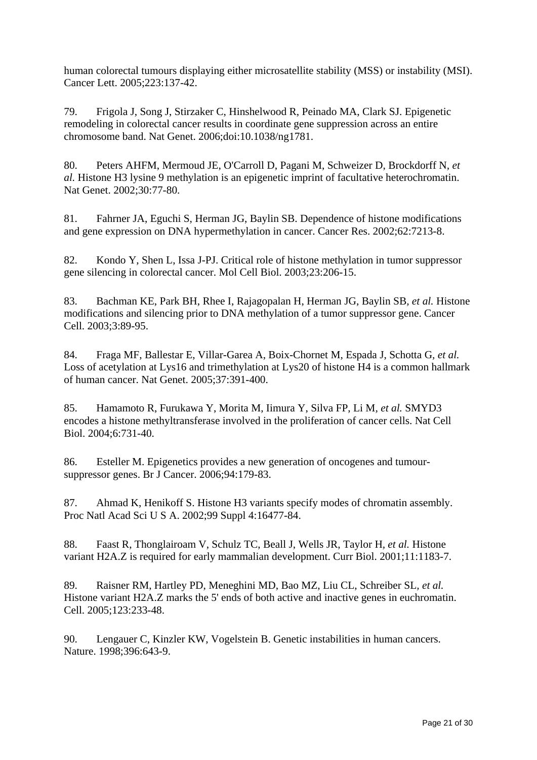human colorectal tumours displaying either microsatellite stability (MSS) or instability (MSI). Cancer Lett. 2005;223:137-42.

79. Frigola J, Song J, Stirzaker C, Hinshelwood R, Peinado MA, Clark SJ. Epigenetic remodeling in colorectal cancer results in coordinate gene suppression across an entire chromosome band. Nat Genet. 2006;doi:10.1038/ng1781.

80. Peters AHFM, Mermoud JE, O'Carroll D, Pagani M, Schweizer D, Brockdorff N*, et al.* Histone H3 lysine 9 methylation is an epigenetic imprint of facultative heterochromatin. Nat Genet. 2002;30:77-80.

81. Fahrner JA, Eguchi S, Herman JG, Baylin SB. Dependence of histone modifications and gene expression on DNA hypermethylation in cancer. Cancer Res. 2002;62:7213-8.

82. Kondo Y, Shen L, Issa J-PJ. Critical role of histone methylation in tumor suppressor gene silencing in colorectal cancer. Mol Cell Biol. 2003;23:206-15.

83. Bachman KE, Park BH, Rhee I, Rajagopalan H, Herman JG, Baylin SB*, et al.* Histone modifications and silencing prior to DNA methylation of a tumor suppressor gene. Cancer Cell. 2003;3:89-95.

84. Fraga MF, Ballestar E, Villar-Garea A, Boix-Chornet M, Espada J, Schotta G*, et al.* Loss of acetylation at Lys16 and trimethylation at Lys20 of histone H4 is a common hallmark of human cancer. Nat Genet. 2005;37:391-400.

85. Hamamoto R, Furukawa Y, Morita M, Iimura Y, Silva FP, Li M*, et al.* SMYD3 encodes a histone methyltransferase involved in the proliferation of cancer cells. Nat Cell Biol. 2004;6:731-40.

86. Esteller M. Epigenetics provides a new generation of oncogenes and tumoursuppressor genes. Br J Cancer. 2006;94:179-83.

87. Ahmad K, Henikoff S. Histone H3 variants specify modes of chromatin assembly. Proc Natl Acad Sci U S A. 2002;99 Suppl 4:16477-84.

88. Faast R, Thonglairoam V, Schulz TC, Beall J, Wells JR, Taylor H*, et al.* Histone variant H2A.Z is required for early mammalian development. Curr Biol. 2001;11:1183-7.

89. Raisner RM, Hartley PD, Meneghini MD, Bao MZ, Liu CL, Schreiber SL*, et al.* Histone variant H2A.Z marks the 5' ends of both active and inactive genes in euchromatin. Cell. 2005;123:233-48.

90. Lengauer C, Kinzler KW, Vogelstein B. Genetic instabilities in human cancers. Nature. 1998;396:643-9.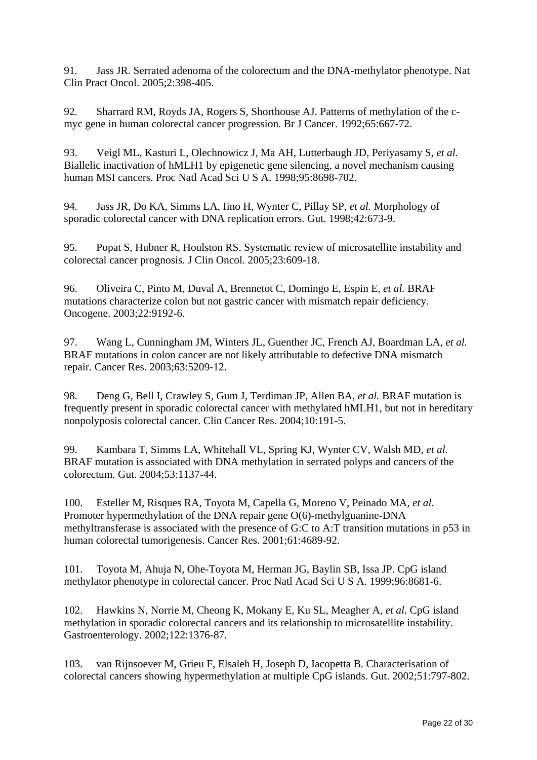91. Jass JR. Serrated adenoma of the colorectum and the DNA-methylator phenotype. Nat Clin Pract Oncol. 2005;2:398-405.

92. Sharrard RM, Royds JA, Rogers S, Shorthouse AJ. Patterns of methylation of the cmyc gene in human colorectal cancer progression. Br J Cancer. 1992;65:667-72.

93. Veigl ML, Kasturi L, Olechnowicz J, Ma AH, Lutterbaugh JD, Periyasamy S*, et al.* Biallelic inactivation of hMLH1 by epigenetic gene silencing, a novel mechanism causing human MSI cancers. Proc Natl Acad Sci U S A. 1998;95:8698-702.

94. Jass JR, Do KA, Simms LA, Iino H, Wynter C, Pillay SP*, et al.* Morphology of sporadic colorectal cancer with DNA replication errors. Gut. 1998;42:673-9.

95. Popat S, Hubner R, Houlston RS. Systematic review of microsatellite instability and colorectal cancer prognosis. J Clin Oncol. 2005;23:609-18.

96. Oliveira C, Pinto M, Duval A, Brennetot C, Domingo E, Espin E*, et al.* BRAF mutations characterize colon but not gastric cancer with mismatch repair deficiency. Oncogene. 2003;22:9192-6.

97. Wang L, Cunningham JM, Winters JL, Guenther JC, French AJ, Boardman LA*, et al.* BRAF mutations in colon cancer are not likely attributable to defective DNA mismatch repair. Cancer Res. 2003;63:5209-12.

98. Deng G, Bell I, Crawley S, Gum J, Terdiman JP, Allen BA*, et al.* BRAF mutation is frequently present in sporadic colorectal cancer with methylated hMLH1, but not in hereditary nonpolyposis colorectal cancer. Clin Cancer Res. 2004;10:191-5.

99. Kambara T, Simms LA, Whitehall VL, Spring KJ, Wynter CV, Walsh MD*, et al.* BRAF mutation is associated with DNA methylation in serrated polyps and cancers of the colorectum. Gut. 2004;53:1137-44.

100. Esteller M, Risques RA, Toyota M, Capella G, Moreno V, Peinado MA*, et al.* Promoter hypermethylation of the DNA repair gene O(6)-methylguanine-DNA methyltransferase is associated with the presence of G:C to A:T transition mutations in p53 in human colorectal tumorigenesis. Cancer Res. 2001;61:4689-92.

101. Toyota M, Ahuja N, Ohe-Toyota M, Herman JG, Baylin SB, Issa JP. CpG island methylator phenotype in colorectal cancer. Proc Natl Acad Sci U S A. 1999;96:8681-6.

102. Hawkins N, Norrie M, Cheong K, Mokany E, Ku SL, Meagher A*, et al.* CpG island methylation in sporadic colorectal cancers and its relationship to microsatellite instability. Gastroenterology. 2002;122:1376-87.

103. van Rijnsoever M, Grieu F, Elsaleh H, Joseph D, Iacopetta B. Characterisation of colorectal cancers showing hypermethylation at multiple CpG islands. Gut. 2002;51:797-802.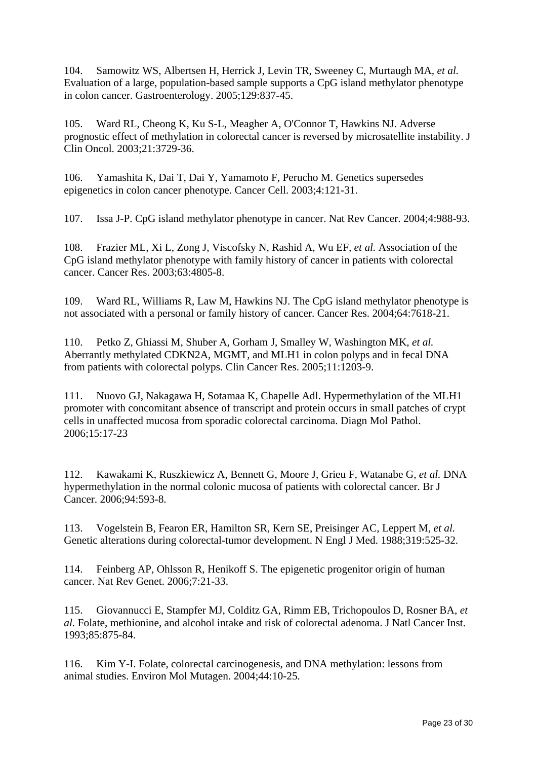104. Samowitz WS, Albertsen H, Herrick J, Levin TR, Sweeney C, Murtaugh MA*, et al.* Evaluation of a large, population-based sample supports a CpG island methylator phenotype in colon cancer. Gastroenterology. 2005;129:837-45.

105. Ward RL, Cheong K, Ku S-L, Meagher A, O'Connor T, Hawkins NJ. Adverse prognostic effect of methylation in colorectal cancer is reversed by microsatellite instability. J Clin Oncol. 2003;21:3729-36.

106. Yamashita K, Dai T, Dai Y, Yamamoto F, Perucho M. Genetics supersedes epigenetics in colon cancer phenotype. Cancer Cell. 2003;4:121-31.

107. Issa J-P. CpG island methylator phenotype in cancer. Nat Rev Cancer. 2004;4:988-93.

108. Frazier ML, Xi L, Zong J, Viscofsky N, Rashid A, Wu EF*, et al.* Association of the CpG island methylator phenotype with family history of cancer in patients with colorectal cancer. Cancer Res. 2003;63:4805-8.

109. Ward RL, Williams R, Law M, Hawkins NJ. The CpG island methylator phenotype is not associated with a personal or family history of cancer. Cancer Res. 2004;64:7618-21.

110. Petko Z, Ghiassi M, Shuber A, Gorham J, Smalley W, Washington MK*, et al.* Aberrantly methylated CDKN2A, MGMT, and MLH1 in colon polyps and in fecal DNA from patients with colorectal polyps. Clin Cancer Res. 2005;11:1203-9.

111. Nuovo GJ, Nakagawa H, Sotamaa K, Chapelle Adl. Hypermethylation of the MLH1 promoter with concomitant absence of transcript and protein occurs in small patches of crypt cells in unaffected mucosa from sporadic colorectal carcinoma. Diagn Mol Pathol. 2006;15:17-23

112. Kawakami K, Ruszkiewicz A, Bennett G, Moore J, Grieu F, Watanabe G*, et al.* DNA hypermethylation in the normal colonic mucosa of patients with colorectal cancer. Br J Cancer. 2006;94:593-8.

113. Vogelstein B, Fearon ER, Hamilton SR, Kern SE, Preisinger AC, Leppert M*, et al.* Genetic alterations during colorectal-tumor development. N Engl J Med. 1988;319:525-32.

114. Feinberg AP, Ohlsson R, Henikoff S. The epigenetic progenitor origin of human cancer. Nat Rev Genet. 2006;7:21-33.

115. Giovannucci E, Stampfer MJ, Colditz GA, Rimm EB, Trichopoulos D, Rosner BA*, et al.* Folate, methionine, and alcohol intake and risk of colorectal adenoma. J Natl Cancer Inst. 1993;85:875-84.

116. Kim Y-I. Folate, colorectal carcinogenesis, and DNA methylation: lessons from animal studies. Environ Mol Mutagen. 2004;44:10-25.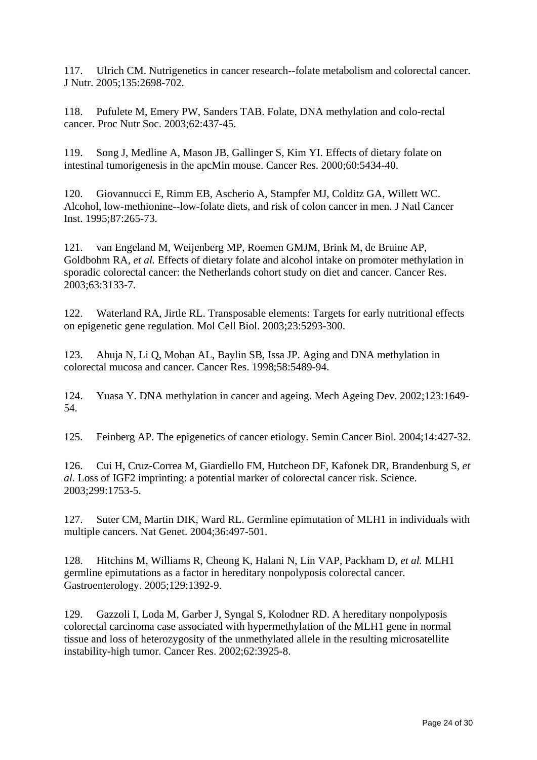117. Ulrich CM. Nutrigenetics in cancer research--folate metabolism and colorectal cancer. J Nutr. 2005;135:2698-702.

118. Pufulete M, Emery PW, Sanders TAB. Folate, DNA methylation and colo-rectal cancer. Proc Nutr Soc. 2003;62:437-45.

119. Song J, Medline A, Mason JB, Gallinger S, Kim YI. Effects of dietary folate on intestinal tumorigenesis in the apcMin mouse. Cancer Res. 2000;60:5434-40.

120. Giovannucci E, Rimm EB, Ascherio A, Stampfer MJ, Colditz GA, Willett WC. Alcohol, low-methionine--low-folate diets, and risk of colon cancer in men. J Natl Cancer Inst. 1995;87:265-73.

121. van Engeland M, Weijenberg MP, Roemen GMJM, Brink M, de Bruine AP, Goldbohm RA*, et al.* Effects of dietary folate and alcohol intake on promoter methylation in sporadic colorectal cancer: the Netherlands cohort study on diet and cancer. Cancer Res. 2003;63:3133-7.

122. Waterland RA, Jirtle RL. Transposable elements: Targets for early nutritional effects on epigenetic gene regulation. Mol Cell Biol. 2003;23:5293-300.

123. Ahuja N, Li Q, Mohan AL, Baylin SB, Issa JP. Aging and DNA methylation in colorectal mucosa and cancer. Cancer Res. 1998;58:5489-94.

124. Yuasa Y. DNA methylation in cancer and ageing. Mech Ageing Dev. 2002;123:1649- 54.

125. Feinberg AP. The epigenetics of cancer etiology. Semin Cancer Biol. 2004;14:427-32.

126. Cui H, Cruz-Correa M, Giardiello FM, Hutcheon DF, Kafonek DR, Brandenburg S*, et al.* Loss of IGF2 imprinting: a potential marker of colorectal cancer risk. Science. 2003;299:1753-5.

127. Suter CM, Martin DIK, Ward RL. Germline epimutation of MLH1 in individuals with multiple cancers. Nat Genet. 2004;36:497-501.

128. Hitchins M, Williams R, Cheong K, Halani N, Lin VAP, Packham D*, et al.* MLH1 germline epimutations as a factor in hereditary nonpolyposis colorectal cancer. Gastroenterology. 2005;129:1392-9.

129. Gazzoli I, Loda M, Garber J, Syngal S, Kolodner RD. A hereditary nonpolyposis colorectal carcinoma case associated with hypermethylation of the MLH1 gene in normal tissue and loss of heterozygosity of the unmethylated allele in the resulting microsatellite instability-high tumor. Cancer Res. 2002;62:3925-8.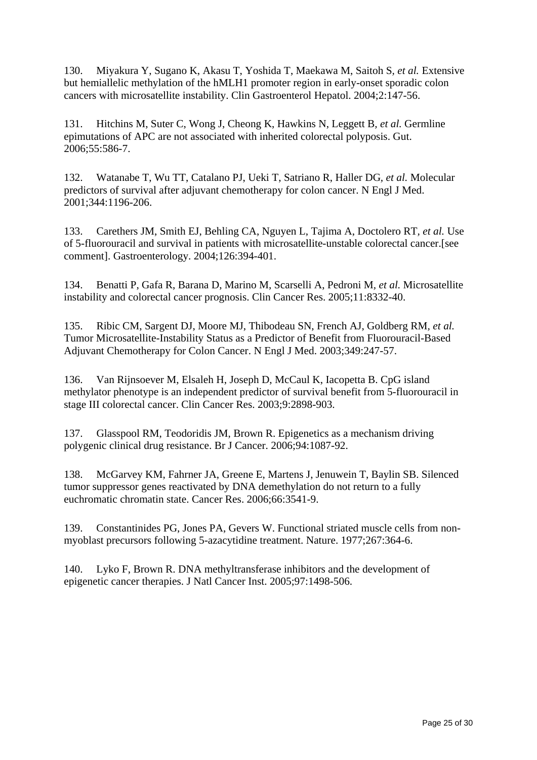130. Miyakura Y, Sugano K, Akasu T, Yoshida T, Maekawa M, Saitoh S*, et al.* Extensive but hemiallelic methylation of the hMLH1 promoter region in early-onset sporadic colon cancers with microsatellite instability. Clin Gastroenterol Hepatol. 2004;2:147-56.

131. Hitchins M, Suter C, Wong J, Cheong K, Hawkins N, Leggett B*, et al.* Germline epimutations of APC are not associated with inherited colorectal polyposis. Gut. 2006;55:586-7.

132. Watanabe T, Wu TT, Catalano PJ, Ueki T, Satriano R, Haller DG*, et al.* Molecular predictors of survival after adjuvant chemotherapy for colon cancer. N Engl J Med. 2001;344:1196-206.

133. Carethers JM, Smith EJ, Behling CA, Nguyen L, Tajima A, Doctolero RT*, et al.* Use of 5-fluorouracil and survival in patients with microsatellite-unstable colorectal cancer.[see comment]. Gastroenterology. 2004;126:394-401.

134. Benatti P, Gafa R, Barana D, Marino M, Scarselli A, Pedroni M*, et al.* Microsatellite instability and colorectal cancer prognosis. Clin Cancer Res. 2005;11:8332-40.

135. Ribic CM, Sargent DJ, Moore MJ, Thibodeau SN, French AJ, Goldberg RM*, et al.* Tumor Microsatellite-Instability Status as a Predictor of Benefit from Fluorouracil-Based Adjuvant Chemotherapy for Colon Cancer. N Engl J Med. 2003;349:247-57.

136. Van Rijnsoever M, Elsaleh H, Joseph D, McCaul K, Iacopetta B. CpG island methylator phenotype is an independent predictor of survival benefit from 5-fluorouracil in stage III colorectal cancer. Clin Cancer Res. 2003;9:2898-903.

137. Glasspool RM, Teodoridis JM, Brown R. Epigenetics as a mechanism driving polygenic clinical drug resistance. Br J Cancer. 2006;94:1087-92.

138. McGarvey KM, Fahrner JA, Greene E, Martens J, Jenuwein T, Baylin SB. Silenced tumor suppressor genes reactivated by DNA demethylation do not return to a fully euchromatic chromatin state. Cancer Res. 2006;66:3541-9.

139. Constantinides PG, Jones PA, Gevers W. Functional striated muscle cells from nonmyoblast precursors following 5-azacytidine treatment. Nature. 1977;267:364-6.

140. Lyko F, Brown R. DNA methyltransferase inhibitors and the development of epigenetic cancer therapies. J Natl Cancer Inst. 2005;97:1498-506.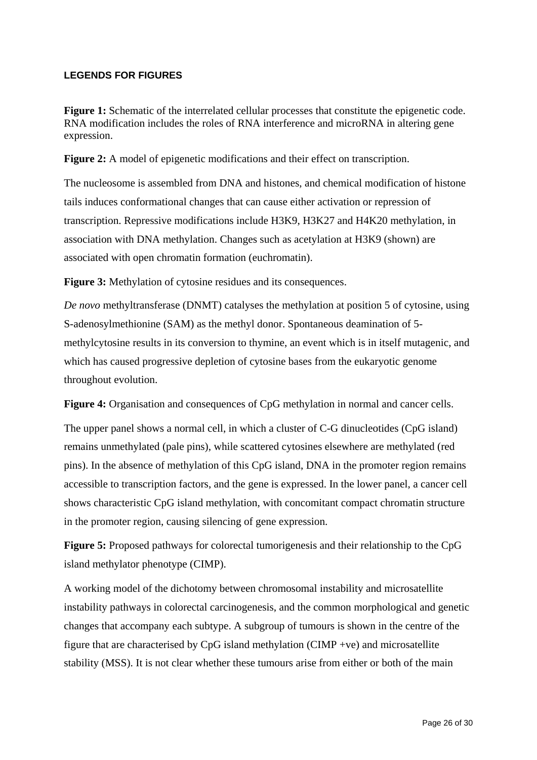#### **LEGENDS FOR FIGURES**

Figure 1: Schematic of the interrelated cellular processes that constitute the epigenetic code. RNA modification includes the roles of RNA interference and microRNA in altering gene expression.

**Figure 2:** A model of epigenetic modifications and their effect on transcription.

The nucleosome is assembled from DNA and histones, and chemical modification of histone tails induces conformational changes that can cause either activation or repression of transcription. Repressive modifications include H3K9, H3K27 and H4K20 methylation, in association with DNA methylation. Changes such as acetylation at H3K9 (shown) are associated with open chromatin formation (euchromatin).

**Figure 3:** Methylation of cytosine residues and its consequences.

*De novo* methyltransferase (DNMT) catalyses the methylation at position 5 of cytosine, using S-adenosylmethionine (SAM) as the methyl donor. Spontaneous deamination of 5 methylcytosine results in its conversion to thymine, an event which is in itself mutagenic, and which has caused progressive depletion of cytosine bases from the eukaryotic genome throughout evolution.

**Figure 4:** Organisation and consequences of CpG methylation in normal and cancer cells.

The upper panel shows a normal cell, in which a cluster of C-G dinucleotides (CpG island) remains unmethylated (pale pins), while scattered cytosines elsewhere are methylated (red pins). In the absence of methylation of this CpG island, DNA in the promoter region remains accessible to transcription factors, and the gene is expressed. In the lower panel, a cancer cell shows characteristic CpG island methylation, with concomitant compact chromatin structure in the promoter region, causing silencing of gene expression.

**Figure 5:** Proposed pathways for colorectal tumorigenesis and their relationship to the CpG island methylator phenotype (CIMP).

A working model of the dichotomy between chromosomal instability and microsatellite instability pathways in colorectal carcinogenesis, and the common morphological and genetic changes that accompany each subtype. A subgroup of tumours is shown in the centre of the figure that are characterised by CpG island methylation (CIMP +ve) and microsatellite stability (MSS). It is not clear whether these tumours arise from either or both of the main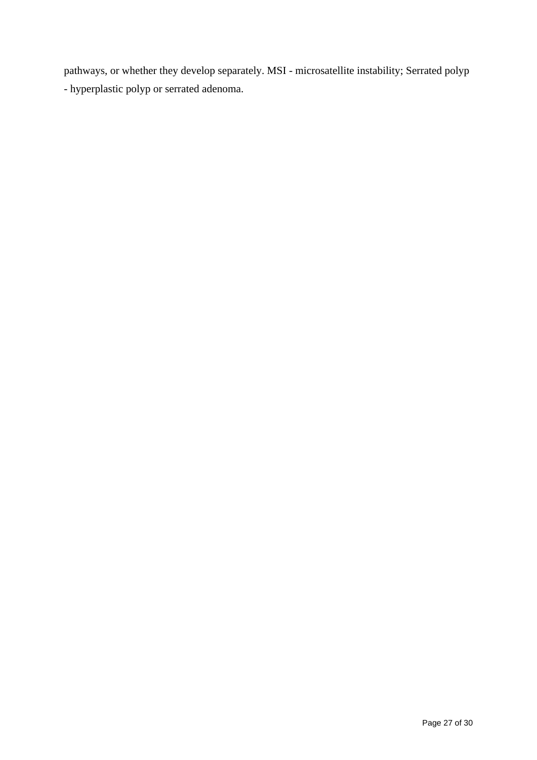pathways, or whether they develop separately. MSI - microsatellite instability; Serrated polyp - hyperplastic polyp or serrated adenoma.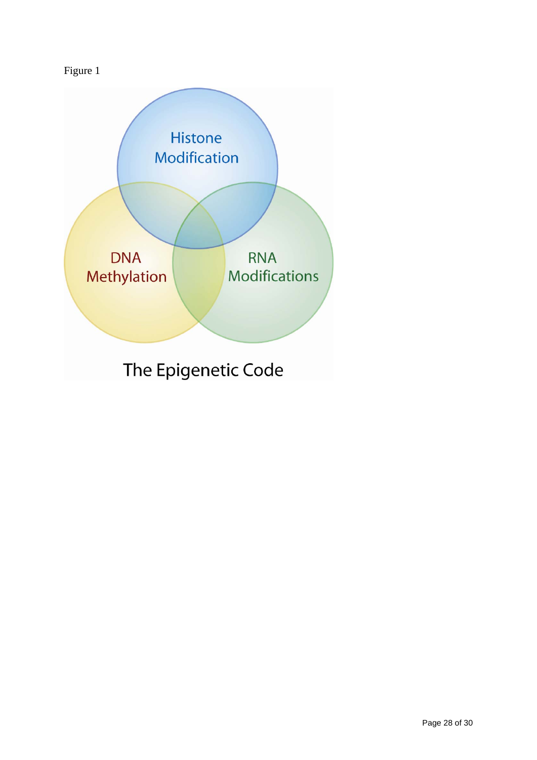# Figure 1

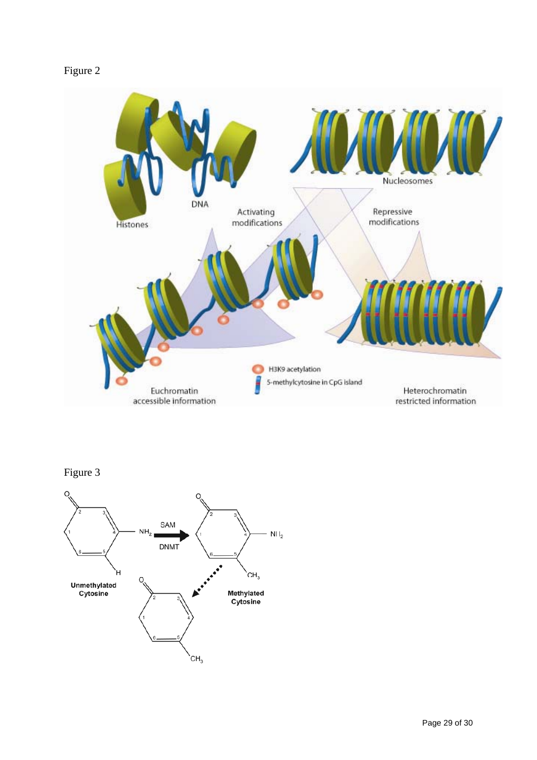## Figure 2



## Figure 3